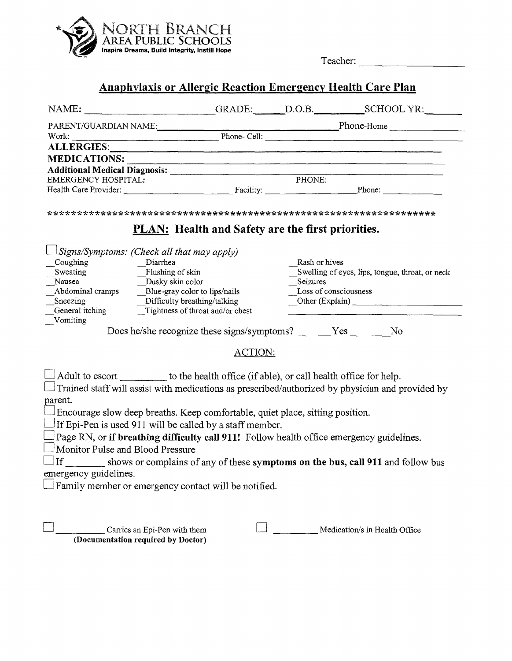

Teacher:

## Anaphylaxis or Allergic Reaction Emergency Health Care Plan

| NAME: GRADE: D.O.B. SCHOOL YR:                                                                                                                                                                        |                                                          |                       |                                                 |  |  |
|-------------------------------------------------------------------------------------------------------------------------------------------------------------------------------------------------------|----------------------------------------------------------|-----------------------|-------------------------------------------------|--|--|
| PARENT/GUARDIAN NAME:<br>Phone-Cell: Phone-Cell: Phone-Cell: Phone-Home Phone-Home Phone-Home Phone-                                                                                                  |                                                          |                       |                                                 |  |  |
|                                                                                                                                                                                                       |                                                          |                       |                                                 |  |  |
|                                                                                                                                                                                                       |                                                          |                       |                                                 |  |  |
|                                                                                                                                                                                                       |                                                          |                       |                                                 |  |  |
| Additional Medical Diagnosis: Manufacturer PHONE:                                                                                                                                                     |                                                          |                       |                                                 |  |  |
|                                                                                                                                                                                                       |                                                          |                       |                                                 |  |  |
|                                                                                                                                                                                                       |                                                          |                       |                                                 |  |  |
|                                                                                                                                                                                                       | <b>PLAN:</b> Health and Safety are the first priorities. |                       |                                                 |  |  |
| $\exists$ Signs/Symptoms: (Check all that may apply)<br>Coughing<br>$_Diarhea$                                                                                                                        |                                                          | Rash or hives         |                                                 |  |  |
| Sweating<br>$\_$ Flushing of skin<br>Dusky skin color<br>Nausea                                                                                                                                       |                                                          | Seizures              | Swelling of eyes, lips, tongue, throat, or neck |  |  |
| Abdominal cramps<br>Blue-gray color to lips/nails                                                                                                                                                     |                                                          | Loss of consciousness |                                                 |  |  |
|                                                                                                                                                                                                       |                                                          |                       | $\qquad$ Other (Explain)                        |  |  |
| Sneezing Difficulty breathing/talking<br>General itching Tightness of throat and/or chest                                                                                                             |                                                          |                       |                                                 |  |  |
| Vomiting                                                                                                                                                                                              |                                                          |                       |                                                 |  |  |
| Does he/she recognize these signs/symptoms? ______Yes _______No                                                                                                                                       |                                                          |                       |                                                 |  |  |
|                                                                                                                                                                                                       | ACTION:                                                  |                       |                                                 |  |  |
| $\Box$ Adult to escort __________ to the health office (if able), or call health office for help.<br>Trained staff will assist with medications as prescribed/authorized by physician and provided by |                                                          |                       |                                                 |  |  |
| parent.                                                                                                                                                                                               |                                                          |                       |                                                 |  |  |
| $\Box$ Encourage slow deep breaths. Keep comfortable, quiet place, sitting position.                                                                                                                  |                                                          |                       |                                                 |  |  |
| If Epi-Pen is used 911 will be called by a staff member.                                                                                                                                              |                                                          |                       |                                                 |  |  |
| Page RN, or if breathing difficulty call 911! Follow health office emergency guidelines.                                                                                                              |                                                          |                       |                                                 |  |  |
| Monitor Pulse and Blood Pressure                                                                                                                                                                      |                                                          |                       |                                                 |  |  |
| If _______ shows or complains of any of these symptoms on the bus, call 911 and follow bus                                                                                                            |                                                          |                       |                                                 |  |  |
| emergency guidelines.                                                                                                                                                                                 |                                                          |                       |                                                 |  |  |
|                                                                                                                                                                                                       |                                                          |                       |                                                 |  |  |
| Family member or emergency contact will be notified.                                                                                                                                                  |                                                          |                       |                                                 |  |  |
|                                                                                                                                                                                                       |                                                          |                       |                                                 |  |  |
|                                                                                                                                                                                                       |                                                          |                       |                                                 |  |  |
| Carries an Epi-Pen with them                                                                                                                                                                          |                                                          |                       | Medication/s in Health Office                   |  |  |

(Documentation required by Doctor)